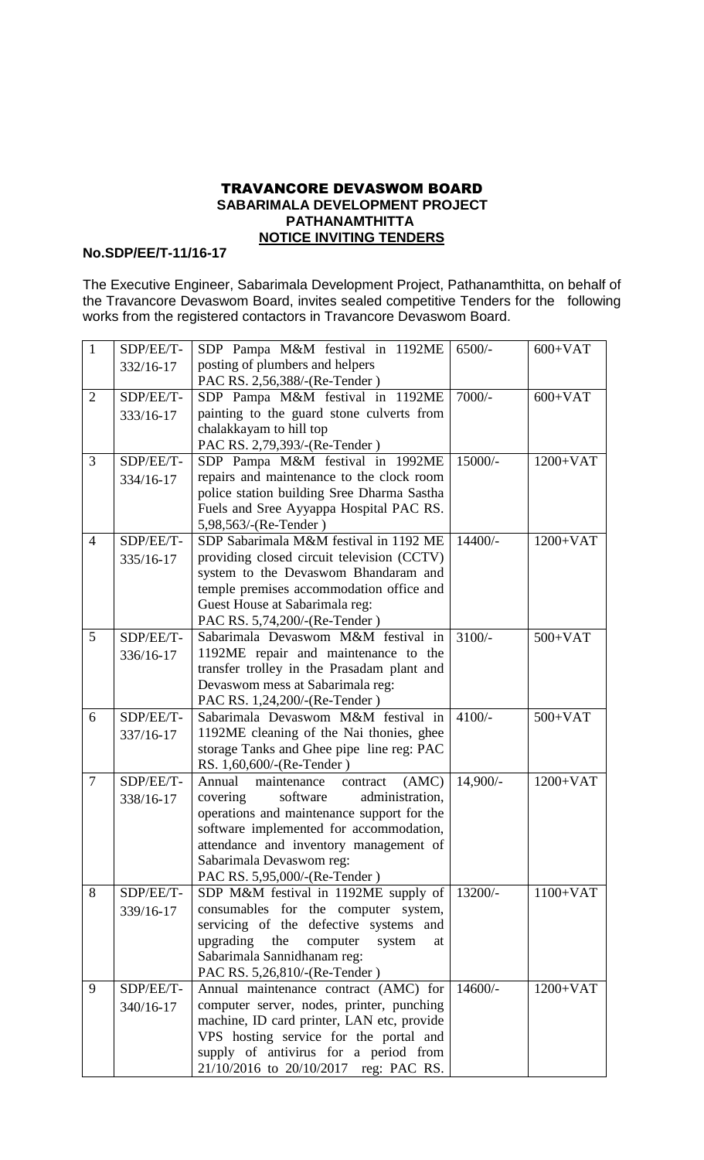## TRAVANCORE DEVASWOM BOARD  **SABARIMALA DEVELOPMENT PROJECT PATHANAMTHITTA NOTICE INVITING TENDERS**

## **No.SDP/EE/T-11/16-17**

The Executive Engineer, Sabarimala Development Project, Pathanamthitta, on behalf of the Travancore Devaswom Board, invites sealed competitive Tenders for the following works from the registered contactors in Travancore Devaswom Board.

| $\mathbf{1}$   | SDP/EE/T- | SDP Pampa M&M festival in 1192ME                                               | $6500/-$  | $600+VAT$  |
|----------------|-----------|--------------------------------------------------------------------------------|-----------|------------|
|                | 332/16-17 | posting of plumbers and helpers                                                |           |            |
|                |           | PAC RS. 2,56,388/-(Re-Tender)                                                  |           |            |
| $\overline{2}$ | SDP/EE/T- | SDP Pampa M&M festival in 1192ME                                               | $7000/-$  | $600+VAT$  |
|                | 333/16-17 | painting to the guard stone culverts from                                      |           |            |
|                |           | chalakkayam to hill top                                                        |           |            |
|                |           | PAC RS. 2,79,393/-(Re-Tender)                                                  |           |            |
| 3              | SDP/EE/T- | SDP Pampa M&M festival in 1992ME                                               | 15000/-   | $1200+VAT$ |
|                | 334/16-17 | repairs and maintenance to the clock room                                      |           |            |
|                |           | police station building Sree Dharma Sastha                                     |           |            |
|                |           | Fuels and Sree Ayyappa Hospital PAC RS.                                        |           |            |
|                |           | 5,98,563/-(Re-Tender)                                                          |           |            |
| $\overline{4}$ | SDP/EE/T- | SDP Sabarimala M&M festival in 1192 ME                                         | $14400/-$ | $1200+VAT$ |
|                | 335/16-17 | providing closed circuit television (CCTV)                                     |           |            |
|                |           | system to the Devaswom Bhandaram and                                           |           |            |
|                |           | temple premises accommodation office and                                       |           |            |
|                |           | Guest House at Sabarimala reg:                                                 |           |            |
|                |           | PAC RS. 5,74,200/-(Re-Tender)                                                  |           |            |
| 5              | SDP/EE/T- | Sabarimala Devaswom M&M festival in                                            | $3100/-$  | $500+VAT$  |
|                | 336/16-17 | 1192ME repair and maintenance to the                                           |           |            |
|                |           | transfer trolley in the Prasadam plant and                                     |           |            |
|                |           | Devaswom mess at Sabarimala reg:                                               |           |            |
|                |           | PAC RS. 1,24,200/-(Re-Tender)                                                  |           |            |
|                |           |                                                                                |           |            |
| 6              | SDP/EE/T- | Sabarimala Devaswom M&M festival in                                            | $4100/-$  | $500+VAT$  |
|                | 337/16-17 | 1192ME cleaning of the Nai thonies, ghee                                       |           |            |
|                |           | storage Tanks and Ghee pipe line reg: PAC                                      |           |            |
|                |           | RS. 1,60,600/-(Re-Tender)                                                      |           |            |
| $\overline{7}$ | SDP/EE/T- | (AMC)<br>Annual<br>maintenance<br>contract                                     | 14,900/-  | $1200+VAT$ |
|                | 338/16-17 | software<br>covering<br>administration,                                        |           |            |
|                |           | operations and maintenance support for the                                     |           |            |
|                |           | software implemented for accommodation,                                        |           |            |
|                |           | attendance and inventory management of<br>Sabarimala Devaswom reg:             |           |            |
|                |           | PAC RS. 5,95,000/-(Re-Tender)                                                  |           |            |
| 8              | SDP/EE/T- | SDP M&M festival in 1192ME supply of                                           | 13200/-   | $1100+VAT$ |
|                | 339/16-17 | consumables for the computer system,                                           |           |            |
|                |           | servicing of the defective systems and                                         |           |            |
|                |           | upgrading<br>the<br>computer<br>system<br>at                                   |           |            |
|                |           | Sabarimala Sannidhanam reg:                                                    |           |            |
|                |           | PAC RS. 5,26,810/-(Re-Tender)                                                  |           |            |
| 9              | SDP/EE/T- | Annual maintenance contract (AMC) for                                          | $14600/-$ | $1200+VAT$ |
|                | 340/16-17 | computer server, nodes, printer, punching                                      |           |            |
|                |           | machine, ID card printer, LAN etc, provide                                     |           |            |
|                |           | VPS hosting service for the portal and                                         |           |            |
|                |           | supply of antivirus for a period from<br>21/10/2016 to 20/10/2017 reg: PAC RS. |           |            |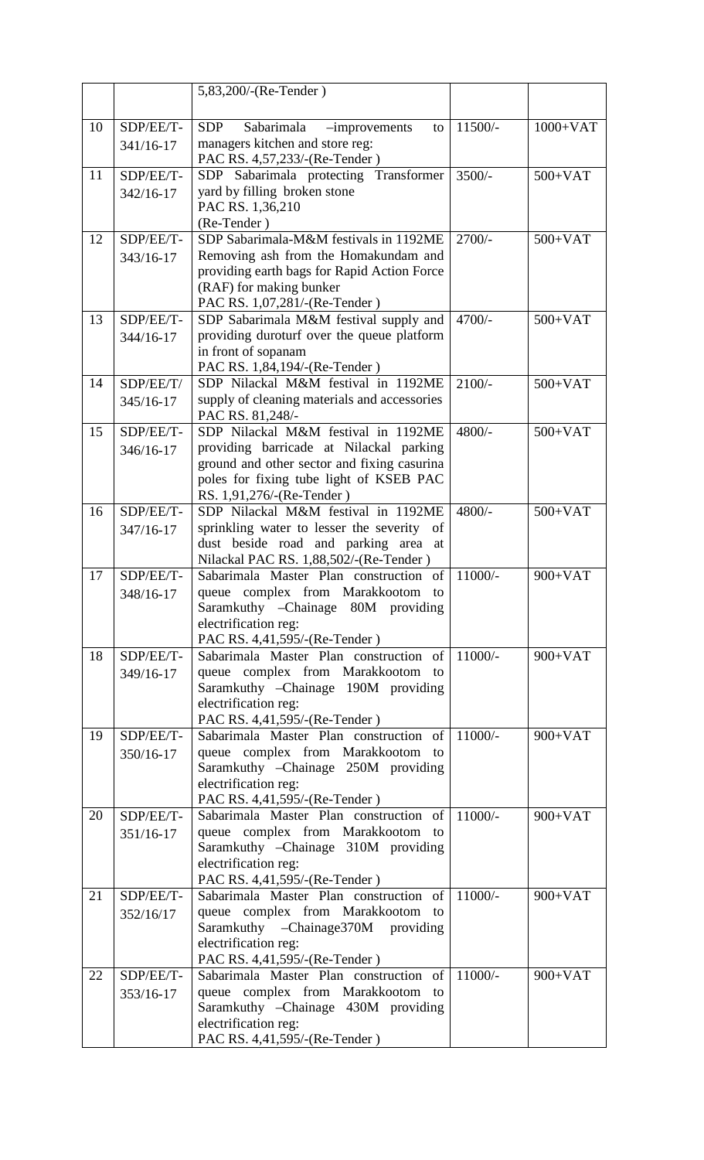|    |           | 5,83,200/-(Re-Tender)                                                                    |           |            |
|----|-----------|------------------------------------------------------------------------------------------|-----------|------------|
|    |           |                                                                                          |           |            |
| 10 | SDP/EE/T- | Sabarimala<br><b>SDP</b><br>$-improvements$<br>to                                        | $11500/-$ | $1000+VAT$ |
|    | 341/16-17 | managers kitchen and store reg:                                                          |           |            |
|    |           | PAC RS. 4,57,233/-(Re-Tender)                                                            |           |            |
| 11 | SDP/EE/T- | SDP Sabarimala protecting Transformer                                                    | $3500/-$  | $500+VAT$  |
|    | 342/16-17 | yard by filling broken stone                                                             |           |            |
|    |           | PAC RS. 1,36,210                                                                         |           |            |
|    |           | (Re-Tender)                                                                              |           |            |
| 12 | SDP/EE/T- | SDP Sabarimala-M&M festivals in 1192ME                                                   | $2700/-$  | $500+VAT$  |
|    | 343/16-17 | Removing ash from the Homakundam and<br>providing earth bags for Rapid Action Force      |           |            |
|    |           | (RAF) for making bunker                                                                  |           |            |
|    |           | PAC RS. 1,07,281/-(Re-Tender)                                                            |           |            |
| 13 | SDP/EE/T- | SDP Sabarimala M&M festival supply and                                                   | $4700/-$  | $500+VAT$  |
|    | 344/16-17 | providing duroturf over the queue platform                                               |           |            |
|    |           | in front of sopanam                                                                      |           |            |
|    |           | PAC RS. 1,84,194/-(Re-Tender)                                                            |           |            |
| 14 | SDP/EE/T/ | SDP Nilackal M&M festival in 1192ME                                                      | $2100/-$  | $500+VAT$  |
|    | 345/16-17 | supply of cleaning materials and accessories<br>PAC RS. 81,248/-                         |           |            |
| 15 | SDP/EE/T- | SDP Nilackal M&M festival in 1192ME                                                      | 4800/-    | $500+VAT$  |
|    | 346/16-17 | providing barricade at Nilackal parking                                                  |           |            |
|    |           | ground and other sector and fixing casurina                                              |           |            |
|    |           | poles for fixing tube light of KSEB PAC                                                  |           |            |
|    |           | RS. 1,91,276/-(Re-Tender)                                                                |           |            |
| 16 | SDP/EE/T- | SDP Nilackal M&M festival in 1192ME                                                      | 4800/-    | $500+VAT$  |
|    | 347/16-17 | sprinkling water to lesser the severity of                                               |           |            |
|    |           | dust beside road and parking area<br>at<br>Nilackal PAC RS. 1,88,502/-(Re-Tender)        |           |            |
| 17 | SDP/EE/T- | Sabarimala Master Plan construction of                                                   | $11000/-$ | $900+VAT$  |
|    | 348/16-17 | queue complex from Marakkootom<br>to                                                     |           |            |
|    |           | Saramkuthy - Chainage 80M providing                                                      |           |            |
|    |           | electrification reg:                                                                     |           |            |
|    |           | PAC RS. 4,41,595/-(Re-Tender)                                                            |           |            |
| 18 | SDP/EE/T- | $11000/-$<br>Sabarimala Master Plan construction of<br>queue complex from Marakkootom to |           | $900+VAT$  |
|    | 349/16-17 | Saramkuthy - Chainage 190M providing                                                     |           |            |
|    |           | electrification reg:                                                                     |           |            |
|    |           | PAC RS. 4,41,595/-(Re-Tender)                                                            |           |            |
| 19 | SDP/EE/T- | Sabarimala Master Plan construction of                                                   | $11000/-$ | $900+VAT$  |
|    | 350/16-17 | queue complex from Marakkootom<br>to                                                     |           |            |
|    |           | Saramkuthy - Chainage 250M providing                                                     |           |            |
|    |           | electrification reg:                                                                     |           |            |
| 20 | SDP/EE/T- | PAC RS. 4,41,595/-(Re-Tender)<br>Sabarimala Master Plan construction of                  | $11000/-$ | $900+VAT$  |
|    | 351/16-17 | queue complex from Marakkootom to                                                        |           |            |
|    |           | Saramkuthy - Chainage 310M providing                                                     |           |            |
|    |           | electrification reg:                                                                     |           |            |
|    |           | PAC RS. 4,41,595/-(Re-Tender)                                                            |           |            |
| 21 | SDP/EE/T- | Sabarimala Master Plan construction of                                                   | $11000/-$ | $900+VAT$  |
|    | 352/16/17 | queue complex from Marakkootom to                                                        |           |            |
|    |           | Saramkuthy -Chainage370M providing                                                       |           |            |
|    |           | electrification reg:                                                                     |           |            |
| 22 | SDP/EE/T- | PAC RS. 4,41,595/-(Re-Tender)<br>Sabarimala Master Plan construction of                  | $11000/-$ | $900+VAT$  |
|    | 353/16-17 | queue complex from Marakkootom to                                                        |           |            |
|    |           | Saramkuthy - Chainage 430M providing                                                     |           |            |
|    |           | electrification reg:                                                                     |           |            |
|    |           | PAC RS. 4,41,595/-(Re-Tender)                                                            |           |            |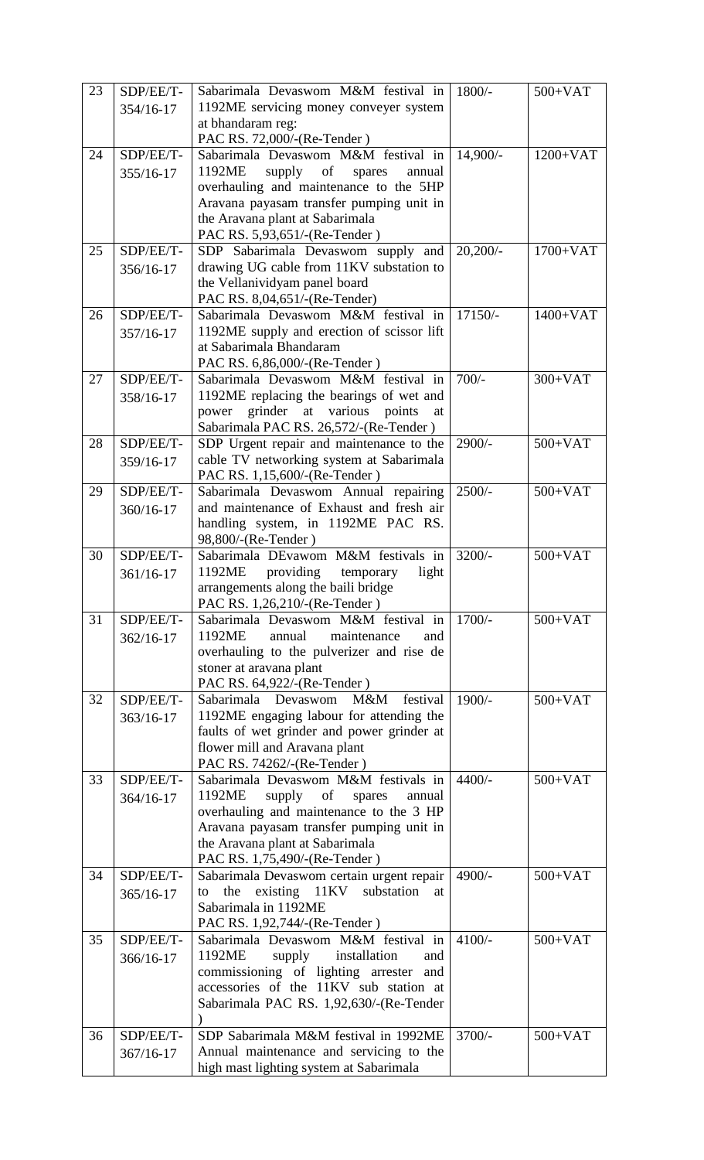| 23 | SDP/EE/T- | Sabarimala Devaswom M&M festival in                                                 | $1800/-$    | $500+VAT$  |
|----|-----------|-------------------------------------------------------------------------------------|-------------|------------|
|    | 354/16-17 | 1192ME servicing money conveyer system                                              |             |            |
|    |           | at bhandaram reg:                                                                   |             |            |
|    |           | PAC RS. 72,000/-(Re-Tender)                                                         |             |            |
| 24 | SDP/EE/T- | Sabarimala Devaswom M&M festival in<br>1192ME<br>annual                             | $14,900/-$  | $1200+VAT$ |
|    | 355/16-17 | supply<br>of<br>spares<br>overhauling and maintenance to the 5HP                    |             |            |
|    |           | Aravana payasam transfer pumping unit in                                            |             |            |
|    |           | the Aravana plant at Sabarimala                                                     |             |            |
|    |           | PAC RS. 5,93,651/-(Re-Tender)                                                       |             |            |
| 25 | SDP/EE/T- | SDP Sabarimala Devaswom supply and                                                  | $20,200/$ - | $1700+VAT$ |
|    | 356/16-17 | drawing UG cable from 11KV substation to                                            |             |            |
|    |           | the Vellanividyam panel board                                                       |             |            |
| 26 | SDP/EE/T- | PAC RS. 8,04,651/-(Re-Tender)<br>$17150/-$<br>Sabarimala Devaswom M&M festival in   |             | $1400+VAT$ |
|    | 357/16-17 | 1192ME supply and erection of scissor lift                                          |             |            |
|    |           | at Sabarimala Bhandaram                                                             |             |            |
|    |           | PAC RS. 6,86,000/-(Re-Tender)                                                       |             |            |
| 27 | SDP/EE/T- | Sabarimala Devaswom M&M festival in                                                 | $700/-$     | $300+VAT$  |
|    | 358/16-17 | 1192ME replacing the bearings of wet and                                            |             |            |
|    |           | grinder at various<br>points<br>power<br>at                                         |             |            |
| 28 | SDP/EE/T- | Sabarimala PAC RS. 26,572/-(Re-Tender)<br>SDP Urgent repair and maintenance to the  | $2900/-$    | $500+VAT$  |
|    |           | cable TV networking system at Sabarimala                                            |             |            |
|    | 359/16-17 | PAC RS. 1,15,600/-(Re-Tender)                                                       |             |            |
| 29 | SDP/EE/T- | Sabarimala Devaswom Annual repairing                                                | $2500/-$    | $500+VAT$  |
|    | 360/16-17 | and maintenance of Exhaust and fresh air                                            |             |            |
|    |           | handling system, in 1192ME PAC RS.                                                  |             |            |
|    |           | 98,800/-(Re-Tender)                                                                 |             |            |
| 30 | SDP/EE/T- | Sabarimala DEvawom M&M festivals in                                                 | $3200/-$    | $500+VAT$  |
|    | 361/16-17 | 1192ME<br>providing<br>light<br>temporary<br>arrangements along the baili bridge    |             |            |
|    |           | PAC RS. 1,26,210/-(Re-Tender)                                                       |             |            |
| 31 | SDP/EE/T- | Sabarimala Devaswom M&M festival in                                                 | $1700/-$    | $500+VAT$  |
|    | 362/16-17 | 1192ME<br>annual<br>maintenance<br>and                                              |             |            |
|    |           | overhauling to the pulverizer and rise de                                           |             |            |
|    |           | stoner at aravana plant                                                             |             |            |
| 32 | SDP/EE/T- | PAC RS. 64,922/-(Re-Tender)<br>festival<br>Sabarimala Devaswom<br>M&M               | 1900/-      | $500+VAT$  |
|    | 363/16-17 | 1192ME engaging labour for attending the                                            |             |            |
|    |           | faults of wet grinder and power grinder at                                          |             |            |
|    |           | flower mill and Aravana plant                                                       |             |            |
|    |           | PAC RS. 74262/-(Re-Tender)                                                          |             |            |
| 33 | SDP/EE/T- | Sabarimala Devaswom M&M festivals in                                                | $4400/-$    | $500+VAT$  |
|    | 364/16-17 | 1192ME<br>supply of<br>annual<br>spares                                             |             |            |
|    |           | overhauling and maintenance to the 3 HP<br>Aravana payasam transfer pumping unit in |             |            |
|    |           | the Aravana plant at Sabarimala                                                     |             |            |
|    |           | PAC RS. 1,75,490/-(Re-Tender)                                                       |             |            |
| 34 | SDP/EE/T- | Sabarimala Devaswom certain urgent repair                                           | 4900/-      | $500+VAT$  |
|    | 365/16-17 | existing 11KV<br>substation<br>the<br>to<br>at                                      |             |            |
|    |           | Sabarimala in 1192ME                                                                |             |            |
|    |           | PAC RS. 1,92,744/-(Re-Tender)                                                       |             |            |
| 35 | SDP/EE/T- | Sabarimala Devaswom M&M festival in<br>1192ME<br>installation                       | $4100/-$    | $500+VAT$  |
|    | 366/16-17 | supply<br>and<br>commissioning of lighting arrester<br>and                          |             |            |
|    |           | accessories of the 11KV sub station at                                              |             |            |
|    |           | Sabarimala PAC RS. 1,92,630/-(Re-Tender                                             |             |            |
|    |           |                                                                                     |             |            |
| 36 | SDP/EE/T- | SDP Sabarimala M&M festival in 1992ME                                               | 3700/-      | $500+VAT$  |
|    | 367/16-17 | Annual maintenance and servicing to the                                             |             |            |
|    |           | high mast lighting system at Sabarimala                                             |             |            |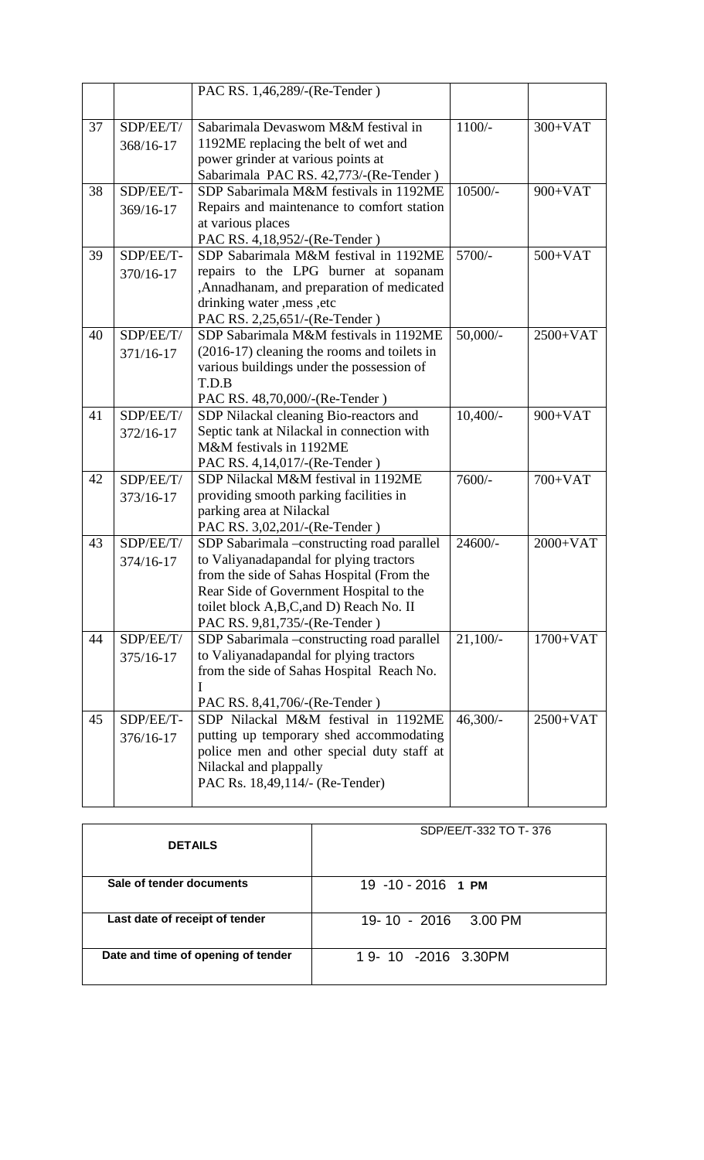|    |                        | PAC RS. 1,46,289/-(Re-Tender)                                                                                                                                                                                                                            |             |            |
|----|------------------------|----------------------------------------------------------------------------------------------------------------------------------------------------------------------------------------------------------------------------------------------------------|-------------|------------|
| 37 | SDP/EE/T/<br>368/16-17 | Sabarimala Devaswom M&M festival in<br>1192ME replacing the belt of wet and<br>power grinder at various points at<br>Sabarimala PAC RS. 42,773/-(Re-Tender)                                                                                              | $1100/-$    | $300+VAT$  |
| 38 | SDP/EE/T-<br>369/16-17 | SDP Sabarimala M&M festivals in 1192ME<br>Repairs and maintenance to comfort station<br>at various places<br>PAC RS. 4,18,952/-(Re-Tender)                                                                                                               | $10500/-$   | $900+VAT$  |
| 39 | SDP/EE/T-<br>370/16-17 | SDP Sabarimala M&M festival in 1192ME<br>5700/-<br>repairs to the LPG burner at sopanam<br>,Annadhanam, and preparation of medicated<br>drinking water , mess , etc<br>PAC RS. 2,25,651/-(Re-Tender)                                                     |             | $500+VAT$  |
| 40 | SDP/EE/T/<br>371/16-17 | SDP Sabarimala M&M festivals in 1192ME<br>(2016-17) cleaning the rooms and toilets in<br>various buildings under the possession of<br>T.D.B<br>PAC RS. 48,70,000/-(Re-Tender)                                                                            | $50,000/$ - | 2500+VAT   |
| 41 | SDP/EE/T/<br>372/16-17 | SDP Nilackal cleaning Bio-reactors and<br>Septic tank at Nilackal in connection with<br>M&M festivals in 1192ME<br>PAC RS. 4,14,017/-(Re-Tender)                                                                                                         | $10,400/-$  | $900+VAT$  |
| 42 | SDP/EE/T/<br>373/16-17 | SDP Nilackal M&M festival in 1192ME<br>providing smooth parking facilities in<br>parking area at Nilackal<br>PAC RS. 3,02,201/-(Re-Tender)                                                                                                               | 7600/-      | $700+VAT$  |
| 43 | SDP/EE/T/<br>374/16-17 | SDP Sabarimala -constructing road parallel<br>to Valiyanadapandal for plying tractors<br>from the side of Sahas Hospital (From the<br>Rear Side of Government Hospital to the<br>toilet block A,B,C,and D) Reach No. II<br>PAC RS. 9,81,735/-(Re-Tender) | 24600/-     | $2000+VAT$ |
| 44 | SDP/EE/T/<br>375/16-17 | SDP Sabarimala -constructing road parallel<br>to Valiyanadapandal for plying tractors<br>from the side of Sahas Hospital Reach No.<br>I<br>PAC RS. 8,41,706/-(Re-Tender)                                                                                 | $21,100/-$  | $1700+VAT$ |
| 45 | SDP/EE/T-<br>376/16-17 | SDP Nilackal M&M festival in 1192ME<br>putting up temporary shed accommodating<br>police men and other special duty staff at<br>Nilackal and plappally<br>PAC Rs. 18,49,114/- (Re-Tender)                                                                | $46,300/-$  | $2500+VAT$ |

| <b>DETAILS</b>                     | SDP/EE/T-332 TO T-376 |
|------------------------------------|-----------------------|
| Sale of tender documents           | 19 -10 - 2016 1 PM    |
| Last date of receipt of tender     | 19-10 - 2016 3.00 PM  |
| Date and time of opening of tender | 1 9- 10 -2016 3.30PM  |